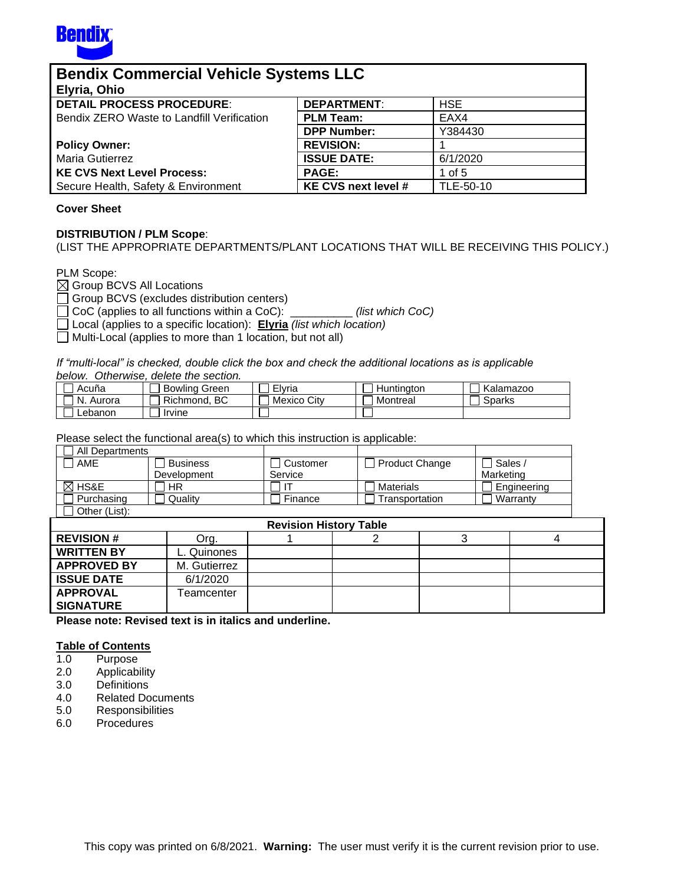

| <b>Bendix Commercial Vehicle Systems LLC</b> |                            |            |  |
|----------------------------------------------|----------------------------|------------|--|
| Elyria, Ohio                                 |                            |            |  |
| <b>DETAIL PROCESS PROCEDURE:</b>             | <b>DEPARTMENT:</b>         | <b>HSE</b> |  |
| Bendix ZERO Waste to Landfill Verification   | <b>PLM Team:</b>           | EAX4       |  |
|                                              | <b>DPP Number:</b>         | Y384430    |  |
| <b>Policy Owner:</b>                         | <b>REVISION:</b>           |            |  |
| <b>Maria Gutierrez</b>                       | <b>ISSUE DATE:</b>         | 6/1/2020   |  |
| <b>KE CVS Next Level Process:</b>            | <b>PAGE:</b>               | 1 of 5     |  |
| Secure Health, Safety & Environment          | <b>KE CVS next level #</b> | TLE-50-10  |  |

#### **Cover Sheet**

### **DISTRIBUTION / PLM Scope**:

(LIST THE APPROPRIATE DEPARTMENTS/PLANT LOCATIONS THAT WILL BE RECEIVING THIS POLICY.)

PLM Scope:

 $\boxtimes$  Group BCVS All Locations

Group BCVS (excludes distribution centers)

CoC (applies to all functions within a CoC): \_\_\_\_\_\_\_\_\_\_ *(list which CoC)*

Local (applies to a specific location): **Elyria** *(list which location)*

Multi-Local (applies to more than 1 location, but not all)

*If "multi-local" is checked, double click the box and check the additional locations as is applicable below. Otherwise, delete the section.* 

| Acuña         | <b>Bowling Green</b> | $- \cdot$<br>Elvria | Huntinaton | Kalamazoo |
|---------------|----------------------|---------------------|------------|-----------|
| 'N.<br>Aurora | ВC<br>Richmond.      | <b>Mexico City</b>  | Montreal   | Sparks    |
| Lebanon       | Irvine               |                     |            |           |

Please select the functional area(s) to which this instruction is applicable:

| All Departments    | $    -$         |                               |                  |   |             |  |
|--------------------|-----------------|-------------------------------|------------------|---|-------------|--|
| AME                | <b>Business</b> | Customer                      | Product Change   |   | Sales /     |  |
|                    | Development     | Service                       |                  |   | Marketing   |  |
| ⊠ HS&E             | <b>HR</b>       |                               | <b>Materials</b> |   | Engineering |  |
| Purchasing         | Quality         | Finance                       | Transportation   |   | Warranty    |  |
| Other (List):      |                 |                               |                  |   |             |  |
|                    |                 | <b>Revision History Table</b> |                  |   |             |  |
| <b>REVISION#</b>   | Org.            |                               | 2                | 3 | 4           |  |
| <b>WRITTEN BY</b>  | L. Quinones     |                               |                  |   |             |  |
| <b>APPROVED BY</b> | M. Gutierrez    |                               |                  |   |             |  |
| <b>ISSUE DATE</b>  | 6/1/2020        |                               |                  |   |             |  |
| <b>APPROVAL</b>    | Teamcenter      |                               |                  |   |             |  |
| <b>SIGNATURE</b>   |                 |                               |                  |   |             |  |

**Please note: Revised text is in italics and underline.**

### **Table of Contents**

- 1.0 Purpose
- 2.0 Applicability
- 3.0 Definitions
- 4.0 Related Documents
- 5.0 Responsibilities
- 6.0 Procedures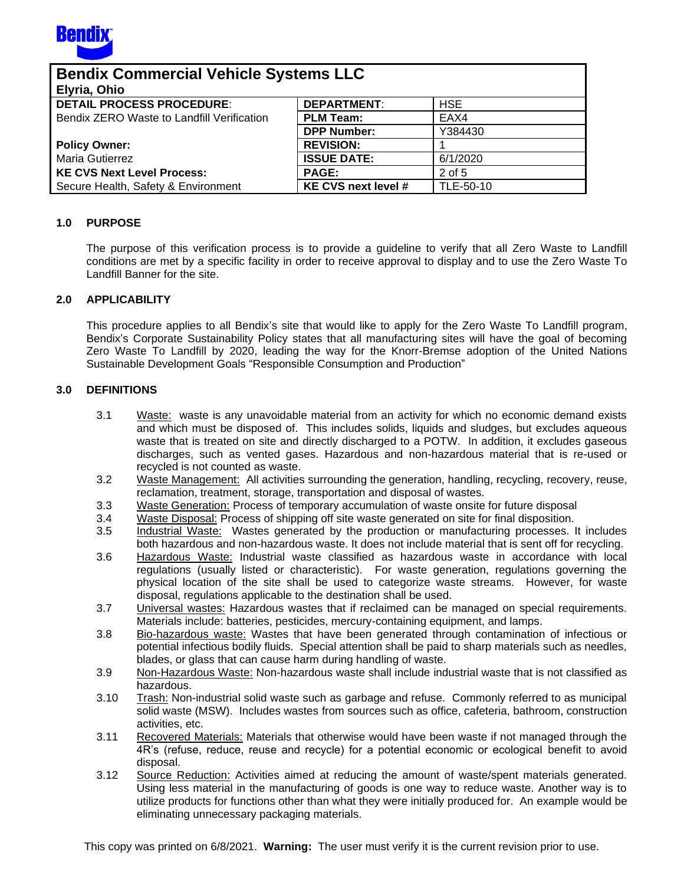

| <b>Bendix Commercial Vehicle Systems LLC</b> |                            |            |  |
|----------------------------------------------|----------------------------|------------|--|
| Elyria, Ohio                                 |                            |            |  |
| <b>DETAIL PROCESS PROCEDURE:</b>             | <b>DEPARTMENT:</b>         | <b>HSE</b> |  |
| Bendix ZERO Waste to Landfill Verification   | <b>PLM Team:</b>           | EAX4       |  |
|                                              | <b>DPP Number:</b>         | Y384430    |  |
| <b>Policy Owner:</b>                         | <b>REVISION:</b>           |            |  |
| <b>Maria Gutierrez</b>                       | <b>ISSUE DATE:</b>         | 6/1/2020   |  |
| <b>KE CVS Next Level Process:</b>            | <b>PAGE:</b>               | 2 of 5     |  |
| Secure Health, Safety & Environment          | <b>KE CVS next level #</b> | TLE-50-10  |  |

## **1.0 PURPOSE**

The purpose of this verification process is to provide a guideline to verify that all Zero Waste to Landfill conditions are met by a specific facility in order to receive approval to display and to use the Zero Waste To Landfill Banner for the site.

### **2.0 APPLICABILITY**

This procedure applies to all Bendix's site that would like to apply for the Zero Waste To Landfill program, Bendix's Corporate Sustainability Policy states that all manufacturing sites will have the goal of becoming Zero Waste To Landfill by 2020, leading the way for the Knorr-Bremse adoption of the United Nations Sustainable Development Goals "Responsible Consumption and Production"

### **3.0 DEFINITIONS**

- 3.1 Waste:waste is any unavoidable material from an activity for which no economic demand exists and which must be disposed of. This includes solids, liquids and sludges, but excludes aqueous waste that is treated on site and directly discharged to a POTW. In addition, it excludes gaseous discharges, such as vented gases. Hazardous and non-hazardous material that is re-used or recycled is not counted as waste.
- 3.2 Waste Management: All activities surrounding the generation, handling, recycling, recovery, reuse, reclamation, treatment, storage, transportation and disposal of wastes.
- 3.3 Waste Generation: Process of temporary accumulation of waste onsite for future disposal
- 3.4 Waste Disposal: Process of shipping off site waste generated on site for final disposition.
- 3.5 Industrial Waste: Wastes generated by the production or manufacturing processes. It includes both hazardous and non-hazardous waste. It does not include material that is sent off for recycling.
- 3.6 Hazardous Waste: Industrial waste classified as hazardous waste in accordance with local regulations (usually listed or characteristic). For waste generation, regulations governing the physical location of the site shall be used to categorize waste streams. However, for waste disposal, regulations applicable to the destination shall be used.
- 3.7 Universal wastes: Hazardous wastes that if reclaimed can be managed on special requirements. Materials include: batteries, pesticides, mercury-containing equipment, and lamps.
- 3.8 Bio-hazardous waste: Wastes that have been generated through contamination of infectious or potential infectious bodily fluids. Special attention shall be paid to sharp materials such as needles, blades, or glass that can cause harm during handling of waste.
- 3.9 Non-Hazardous Waste: Non-hazardous waste shall include industrial waste that is not classified as hazardous.
- 3.10 Trash: Non-industrial solid waste such as garbage and refuse. Commonly referred to as municipal solid waste (MSW). Includes wastes from sources such as office, cafeteria, bathroom, construction activities, etc.
- 3.11 Recovered Materials: Materials that otherwise would have been waste if not managed through the 4R's (refuse, reduce, reuse and recycle) for a potential economic or ecological benefit to avoid disposal.
- 3.12 Source Reduction: Activities aimed at reducing the amount of waste/spent materials generated. Using less material in the manufacturing of goods is one way to reduce waste. Another way is to utilize products for functions other than what they were initially produced for. An example would be eliminating unnecessary packaging materials.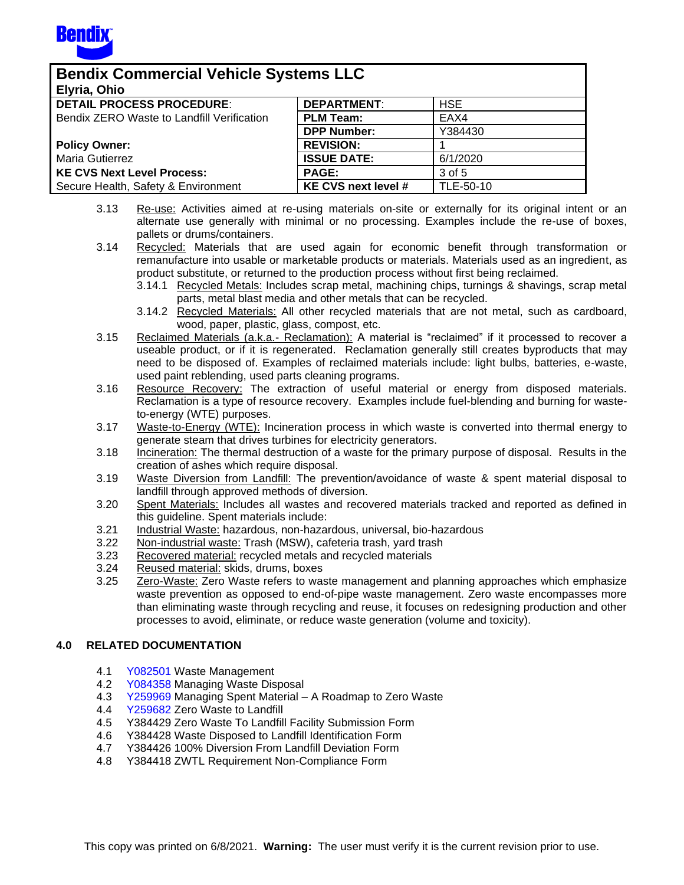

| <b>Bendix Commercial Vehicle Systems LLC</b> |                            |            |  |
|----------------------------------------------|----------------------------|------------|--|
| Elyria, Ohio                                 |                            |            |  |
| <b>DETAIL PROCESS PROCEDURE:</b>             | <b>DEPARTMENT:</b>         | <b>HSE</b> |  |
| Bendix ZERO Waste to Landfill Verification   | <b>PLM Team:</b>           | EAX4       |  |
|                                              | <b>DPP Number:</b>         | Y384430    |  |
| <b>Policy Owner:</b>                         | <b>REVISION:</b>           |            |  |
| <b>Maria Gutierrez</b>                       | <b>ISSUE DATE:</b>         | 6/1/2020   |  |
| KE CVS Next Level Process:                   | <b>PAGE:</b>               | 3 of 5     |  |
| Secure Health, Safety & Environment          | <b>KE CVS next level #</b> | TLE-50-10  |  |

- 3.13 Re-use: Activities aimed at re-using materials on-site or externally for its original intent or an alternate use generally with minimal or no processing. Examples include the re-use of boxes, pallets or drums/containers.
- 3.14 Recycled: Materials that are used again for economic benefit through transformation or remanufacture into usable or marketable products or materials. Materials used as an ingredient, as product substitute, or returned to the production process without first being reclaimed.
	- 3.14.1 Recycled Metals: Includes scrap metal, machining chips, turnings & shavings, scrap metal parts, metal blast media and other metals that can be recycled.
	- 3.14.2 Recycled Materials: All other recycled materials that are not metal, such as cardboard, wood, paper, plastic, glass, compost, etc.
- 3.15 Reclaimed Materials (a.k.a.- Reclamation): A material is "reclaimed" if it processed to recover a useable product, or if it is regenerated. Reclamation generally still creates byproducts that may need to be disposed of. Examples of reclaimed materials include: light bulbs, batteries, e-waste, used paint reblending, used parts cleaning programs.
- 3.16 Resource Recovery: The extraction of useful material or energy from disposed materials. Reclamation is a type of resource recovery. Examples include fuel-blending and burning for wasteto-energy (WTE) purposes.
- 3.17 Waste-to-Energy (WTE): Incineration process in which waste is converted into thermal energy to generate steam that drives turbines for electricity generators.
- 3.18 Incineration: The thermal destruction of a waste for the primary purpose of disposal. Results in the creation of ashes which require disposal.
- 3.19 Waste Diversion from Landfill: The prevention/avoidance of waste & spent material disposal to landfill through approved methods of diversion.
- 3.20 Spent Materials: Includes all wastes and recovered materials tracked and reported as defined in this guideline. Spent materials include:
- 3.21 Industrial Waste: hazardous, non-hazardous, universal, bio-hazardous
- 3.22 Non-industrial waste: Trash (MSW), cafeteria trash, yard trash
- 3.23 Recovered material: recycled metals and recycled materials
- 3.24 Reused material: skids, drums, boxes
- 3.25 Zero-Waste: Zero Waste refers to waste management and planning approaches which emphasize waste prevention as opposed to end-of-pipe waste management. Zero waste encompasses more than eliminating waste through recycling and reuse, it focuses on redesigning production and other processes to avoid, eliminate, or reduce waste generation (volume and toxicity).

# **4.0 RELATED DOCUMENTATION**

- 4.1 [Y082501](http://a2wls.grp.knorr-bremse.com:3131/GetCVSPLMProcDoc.htm?id=Y082501&language=US) Waste Management
- 4.2 [Y084358](http://a2wls.grp.knorr-bremse.com:3131/GetCVSPLMProcDoc.htm?id=Y084358&language=US) Managing Waste Disposal
- 4.3 [Y259969](http://a2wls.grp.knorr-bremse.com:3131/GetCVSPLMProcDoc.htm?id=Y259969&language=US) Managing Spent Material A Roadmap to Zero Waste
- 4.4 [Y259682](http://a2wls.grp.knorr-bremse.com:3131/GetCVSPLMProcDoc.htm?id=Y259682&language=US) Zero Waste to Landfill
- 4.5 Y384429 Zero Waste To Landfill Facility Submission Form
- 4.6 Y384428 Waste Disposed to Landfill Identification Form
- 4.7 Y384426 100% Diversion From Landfill Deviation Form
- 4.8 Y384418 ZWTL Requirement Non-Compliance Form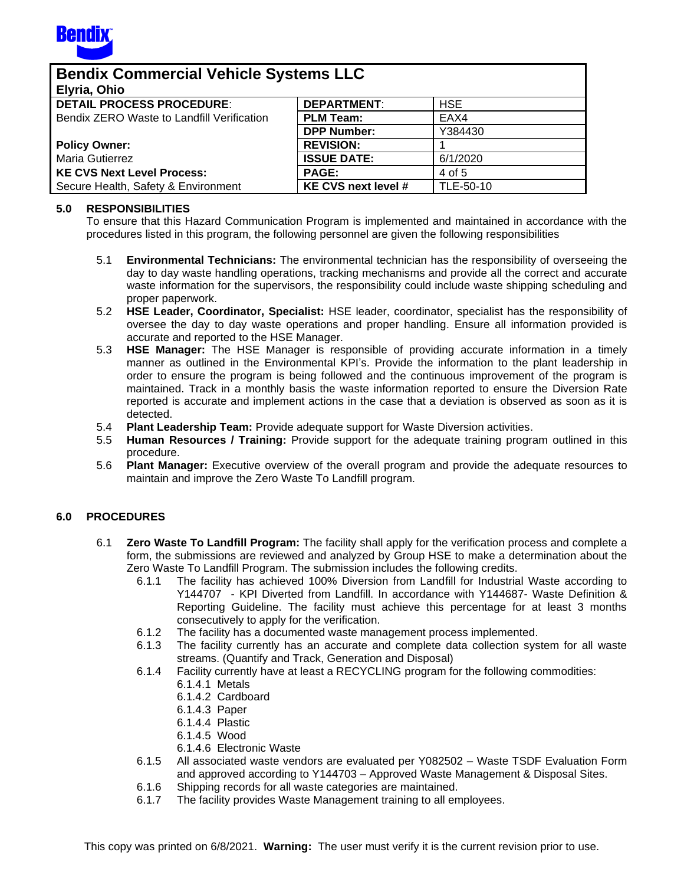

| <b>Bendix Commercial Vehicle Systems LLC</b> |                            |            |  |
|----------------------------------------------|----------------------------|------------|--|
| Elyria, Ohio                                 |                            |            |  |
| <b>DETAIL PROCESS PROCEDURE:</b>             | <b>DEPARTMENT:</b>         | <b>HSE</b> |  |
| Bendix ZERO Waste to Landfill Verification   | <b>PLM Team:</b>           | EAX4       |  |
|                                              | <b>DPP Number:</b>         | Y384430    |  |
| <b>Policy Owner:</b>                         | <b>REVISION:</b>           |            |  |
| <b>Maria Gutierrez</b>                       | <b>ISSUE DATE:</b>         | 6/1/2020   |  |
| <b>KE CVS Next Level Process:</b>            | <b>PAGE:</b>               | 4 of 5     |  |
| Secure Health, Safety & Environment          | <b>KE CVS next level #</b> | TLE-50-10  |  |

## **5.0 RESPONSIBILITIES**

To ensure that this Hazard Communication Program is implemented and maintained in accordance with the procedures listed in this program, the following personnel are given the following responsibilities

- 5.1 **Environmental Technicians:** The environmental technician has the responsibility of overseeing the day to day waste handling operations, tracking mechanisms and provide all the correct and accurate waste information for the supervisors, the responsibility could include waste shipping scheduling and proper paperwork.
- 5.2 **HSE Leader, Coordinator, Specialist:** HSE leader, coordinator, specialist has the responsibility of oversee the day to day waste operations and proper handling. Ensure all information provided is accurate and reported to the HSE Manager.
- 5.3 **HSE Manager:** The HSE Manager is responsible of providing accurate information in a timely manner as outlined in the Environmental KPI's. Provide the information to the plant leadership in order to ensure the program is being followed and the continuous improvement of the program is maintained. Track in a monthly basis the waste information reported to ensure the Diversion Rate reported is accurate and implement actions in the case that a deviation is observed as soon as it is detected.
- 5.4 **Plant Leadership Team:** Provide adequate support for Waste Diversion activities.
- 5.5 **Human Resources / Training:** Provide support for the adequate training program outlined in this procedure.
- 5.6 **Plant Manager:** Executive overview of the overall program and provide the adequate resources to maintain and improve the Zero Waste To Landfill program.

# **6.0 PROCEDURES**

- 6.1 **Zero Waste To Landfill Program:** The facility shall apply for the verification process and complete a form, the submissions are reviewed and analyzed by Group HSE to make a determination about the Zero Waste To Landfill Program. The submission includes the following credits.
	- 6.1.1 The facility has achieved 100% Diversion from Landfill for Industrial Waste according to Y144707 - KPI Diverted from Landfill. In accordance with Y144687- Waste Definition & Reporting Guideline. The facility must achieve this percentage for at least 3 months consecutively to apply for the verification.
	- 6.1.2 The facility has a documented waste management process implemented.
	- 6.1.3 The facility currently has an accurate and complete data collection system for all waste streams. (Quantify and Track, Generation and Disposal)
	- 6.1.4 Facility currently have at least a RECYCLING program for the following commodities:
		- 6.1.4.1 Metals
		- 6.1.4.2 Cardboard
		- 6.1.4.3 Paper
		- 6.1.4.4 Plastic
		- 6.1.4.5 Wood
		- 6.1.4.6 Electronic Waste
	- 6.1.5 All associated waste vendors are evaluated per Y082502 Waste TSDF Evaluation Form and approved according to Y144703 – Approved Waste Management & Disposal Sites.
	- 6.1.6 Shipping records for all waste categories are maintained.
	- 6.1.7 The facility provides Waste Management training to all employees.